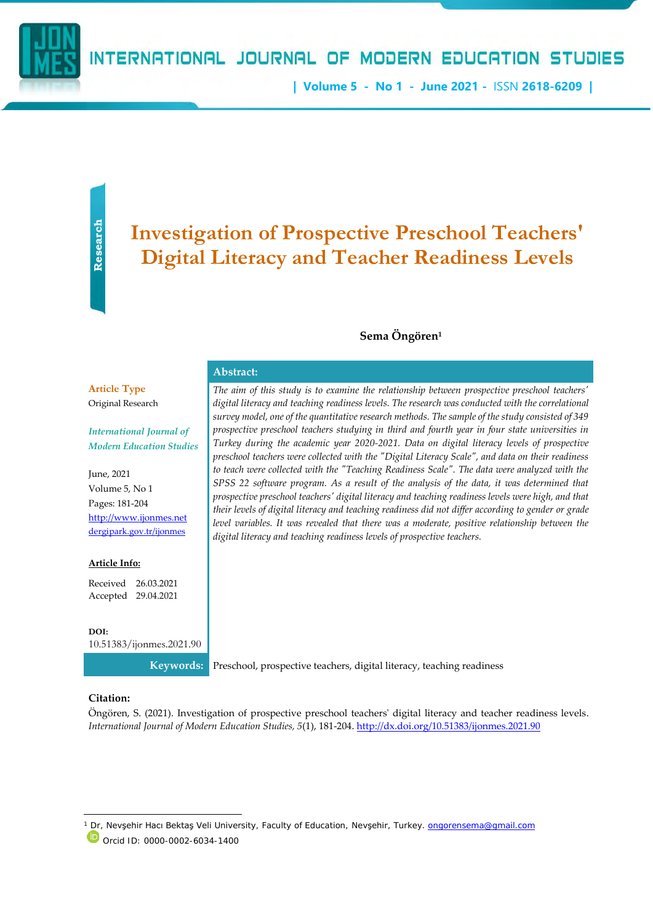**| Volume 5 - No 1 - June 2021 -** ISSN **2618-6209 |**

**Research** 

# **Investigation of Prospective Preschool Teachers' Digital Literacy and Teacher Readiness Levels**

#### **Sema Öngören<sup>1</sup>**

*The aim of this study is to examine the relationship between prospective preschool teachers' digital literacy and teaching readiness levels. The research was conducted with the correlational survey model, one of the quantitative research methods. The sample of the study consisted of 349 prospective preschool teachers studying in third and fourth year in four state universities in Turkey during the academic year 2020-2021. Data on digital literacy levels of prospective preschool teachers were collected with the "Digital Literacy Scale", and data on their readiness to teach were collected with the "Teaching Readiness Scale". The data were analyzed with the SPSS 22 software program. As a result of the analysis of the data, it was determined that prospective preschool teachers' digital literacy and teaching readiness levels were high, and that their levels of digital literacy and teaching readiness did not differ according to gender or grade*  level variables. It was revealed that there was a moderate, positive relationship between the

**Article Type** Original Research

*International Journal of Modern Education Studies* **Abstract:**

June, 2021 Volume 5, No 1 Pages: 181-204 [http://www.ijonmes.net](http://www.ijonmes.net/) [dergipark.gov.tr/ijonmes](http://www.dergipark.gov.tr/ijonmes)

#### **Article Info:**

Received 26.03.2021 Accepted 29.04.2021

**DOI:**

[10.51383/ijonmes.2021.90](http://dx.doi.org/10.51383/ijonmes.2020.54)

*digital literacy and teaching readiness levels of prospective teachers.*

**Citation:**

Öngören, S. (2021). Investigation of prospective preschool teachers' digital literacy and teacher readiness levels. *International Journal of Modern Education Studies, 5*(1), 181-204. <http://dx.doi.org/10.51383/ijonmes.2021.90>

**Keywords:** Preschool, prospective teachers, digital literacy, teaching readiness

<sup>1</sup> Dr, Nevsehir Hacı Bektaş Veli University, Faculty of Education, Nevşehir, Turkey. **ongorensema@gmail.com** 

Orcid ID: 0000-0002-6034-1400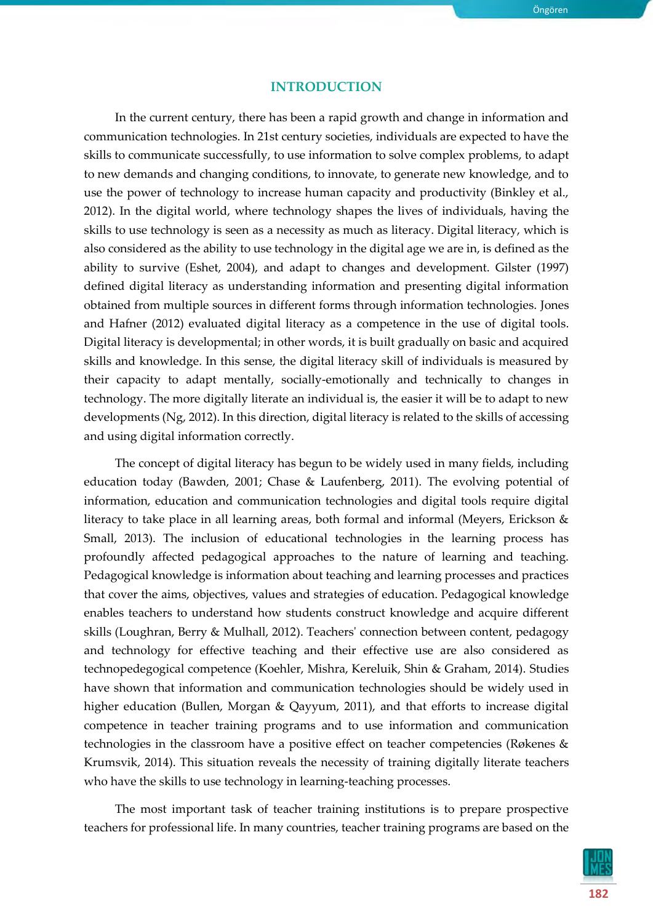## **INTRODUCTION**

In the current century, there has been a rapid growth and change in information and communication technologies. In 21st century societies, individuals are expected to have the skills to communicate successfully, to use information to solve complex problems, to adapt to new demands and changing conditions, to innovate, to generate new knowledge, and to use the power of technology to increase human capacity and productivity (Binkley et al., 2012). In the digital world, where technology shapes the lives of individuals, having the skills to use technology is seen as a necessity as much as literacy. Digital literacy, which is also considered as the ability to use technology in the digital age we are in, is defined as the ability to survive (Eshet, 2004), and adapt to changes and development. Gilster (1997) defined digital literacy as understanding information and presenting digital information obtained from multiple sources in different forms through information technologies. Jones and Hafner (2012) evaluated digital literacy as a competence in the use of digital tools. Digital literacy is developmental; in other words, it is built gradually on basic and acquired skills and knowledge. In this sense, the digital literacy skill of individuals is measured by their capacity to adapt mentally, socially-emotionally and technically to changes in technology. The more digitally literate an individual is, the easier it will be to adapt to new developments (Ng, 2012). In this direction, digital literacy is related to the skills of accessing and using digital information correctly.

The concept of digital literacy has begun to be widely used in many fields, including education today (Bawden, 2001; Chase & Laufenberg, 2011). The evolving potential of information, education and communication technologies and digital tools require digital literacy to take place in all learning areas, both formal and informal (Meyers, Erickson & Small, 2013). The inclusion of educational technologies in the learning process has profoundly affected pedagogical approaches to the nature of learning and teaching. Pedagogical knowledge is information about teaching and learning processes and practices that cover the aims, objectives, values and strategies of education. Pedagogical knowledge enables teachers to understand how students construct knowledge and acquire different skills (Loughran, Berry & Mulhall, 2012). Teachers' connection between content, pedagogy and technology for effective teaching and their effective use are also considered as technopedegogical competence (Koehler, Mishra, Kereluik, Shin & Graham, 2014). Studies have shown that information and communication technologies should be widely used in higher education (Bullen, Morgan & Qayyum, 2011), and that efforts to increase digital competence in teacher training programs and to use information and communication technologies in the classroom have a positive effect on teacher competencies (Røkenes & Krumsvik, 2014). This situation reveals the necessity of training digitally literate teachers who have the skills to use technology in learning-teaching processes.

The most important task of teacher training institutions is to prepare prospective teachers for professional life. In many countries, teacher training programs are based on the

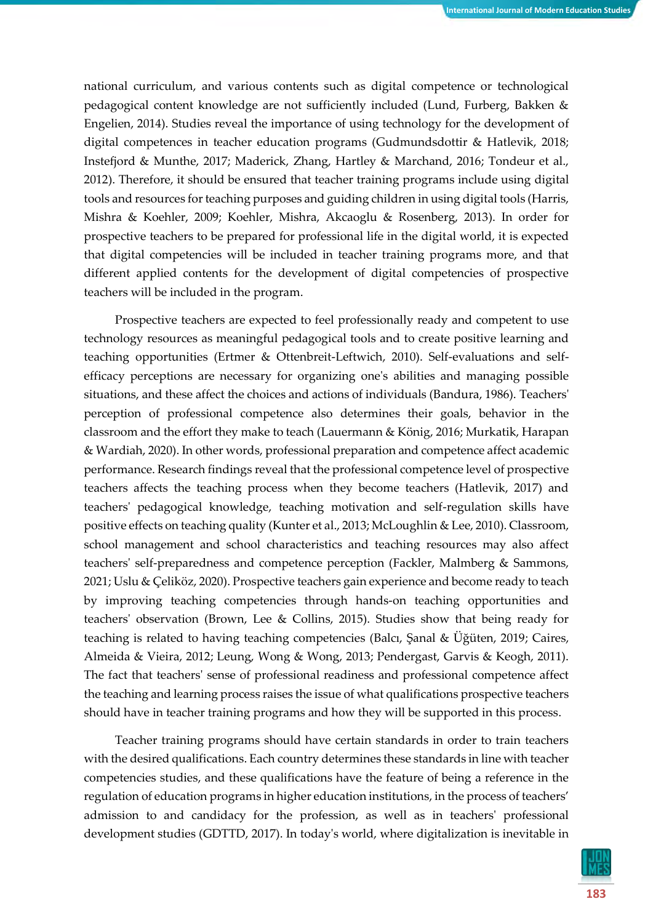national curriculum, and various contents such as digital competence or technological pedagogical content knowledge are not sufficiently included (Lund, Furberg, Bakken & Engelien, 2014). Studies reveal the importance of using technology for the development of digital competences in teacher education programs (Gudmundsdottir & Hatlevik, 2018; Instefjord & Munthe, 2017; Maderick, Zhang, Hartley & Marchand, 2016; Tondeur et al., 2012). Therefore, it should be ensured that teacher training programs include using digital tools and resources for teaching purposes and guiding children in using digital tools (Harris, Mishra & Koehler, 2009; Koehler, Mishra, Akcaoglu & Rosenberg, 2013). In order for prospective teachers to be prepared for professional life in the digital world, it is expected that digital competencies will be included in teacher training programs more, and that different applied contents for the development of digital competencies of prospective teachers will be included in the program.

Prospective teachers are expected to feel professionally ready and competent to use technology resources as meaningful pedagogical tools and to create positive learning and teaching opportunities (Ertmer & Ottenbreit-Leftwich, 2010). Self-evaluations and selfefficacy perceptions are necessary for organizing one's abilities and managing possible situations, and these affect the choices and actions of individuals (Bandura, 1986). Teachers' perception of professional competence also determines their goals, behavior in the classroom and the effort they make to teach (Lauermann & König, 2016; Murkatik, Harapan & Wardiah, 2020). In other words, professional preparation and competence affect academic performance. Research findings reveal that the professional competence level of prospective teachers affects the teaching process when they become teachers (Hatlevik, 2017) and teachers' pedagogical knowledge, teaching motivation and self-regulation skills have positive effects on teaching quality (Kunter et al., 2013; McLoughlin & Lee, 2010). Classroom, school management and school characteristics and teaching resources may also affect teachers' self-preparedness and competence perception (Fackler, Malmberg & Sammons, 2021; Uslu & Çeliköz, 2020). Prospective teachers gain experience and become ready to teach by improving teaching competencies through hands-on teaching opportunities and teachers' observation (Brown, Lee & Collins, 2015). Studies show that being ready for teaching is related to having teaching competencies (Balcı, Şanal & Üğüten, 2019; Caires, Almeida & Vieira, 2012; Leung, Wong & Wong, 2013; Pendergast, Garvis & Keogh, 2011). The fact that teachers' sense of professional readiness and professional competence affect the teaching and learning process raises the issue of what qualifications prospective teachers should have in teacher training programs and how they will be supported in this process.

Teacher training programs should have certain standards in order to train teachers with the desired qualifications. Each country determines these standards in line with teacher competencies studies, and these qualifications have the feature of being a reference in the regulation of education programs in higher education institutions, in the process of teachers' admission to and candidacy for the profession, as well as in teachers' professional development studies (GDTTD, 2017). In today's world, where digitalization is inevitable in

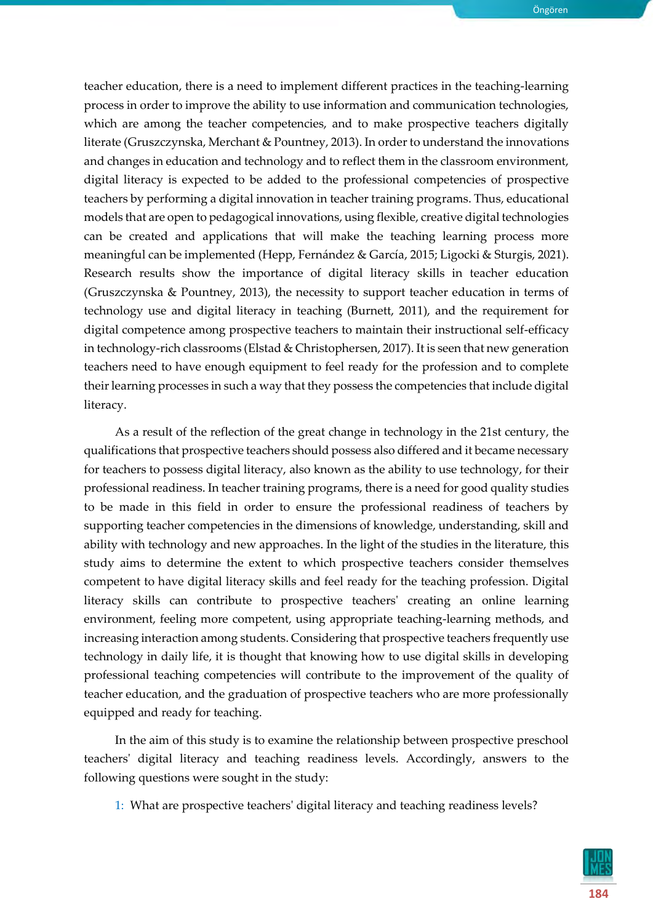teacher education, there is a need to implement different practices in the teaching-learning process in order to improve the ability to use information and communication technologies, which are among the teacher competencies, and to make prospective teachers digitally literate (Gruszczynska, Merchant & Pountney, 2013). In order to understand the innovations and changes in education and technology and to reflect them in the classroom environment, digital literacy is expected to be added to the professional competencies of prospective teachers by performing a digital innovation in teacher training programs. Thus, educational models that are open to pedagogical innovations, using flexible, creative digital technologies can be created and applications that will make the teaching learning process more meaningful can be implemented (Hepp, Fernández & García, 2015; Ligocki & Sturgis, 2021). Research results show the importance of digital literacy skills in teacher education (Gruszczynska & Pountney, 2013), the necessity to support teacher education in terms of technology use and digital literacy in teaching (Burnett, 2011), and the requirement for digital competence among prospective teachers to maintain their instructional self-efficacy in technology-rich classrooms (Elstad & Christophersen, 2017). It is seen that new generation teachers need to have enough equipment to feel ready for the profession and to complete their learning processes in such a way that they possess the competencies that include digital literacy.

As a result of the reflection of the great change in technology in the 21st century, the qualifications that prospective teachers should possess also differed and it became necessary for teachers to possess digital literacy, also known as the ability to use technology, for their professional readiness. In teacher training programs, there is a need for good quality studies to be made in this field in order to ensure the professional readiness of teachers by supporting teacher competencies in the dimensions of knowledge, understanding, skill and ability with technology and new approaches. In the light of the studies in the literature, this study aims to determine the extent to which prospective teachers consider themselves competent to have digital literacy skills and feel ready for the teaching profession. Digital literacy skills can contribute to prospective teachers' creating an online learning environment, feeling more competent, using appropriate teaching-learning methods, and increasing interaction among students. Considering that prospective teachers frequently use technology in daily life, it is thought that knowing how to use digital skills in developing professional teaching competencies will contribute to the improvement of the quality of teacher education, and the graduation of prospective teachers who are more professionally equipped and ready for teaching.

In the aim of this study is to examine the relationship between prospective preschool teachers' digital literacy and teaching readiness levels. Accordingly, answers to the following questions were sought in the study:

1: What are prospective teachers' digital literacy and teaching readiness levels?

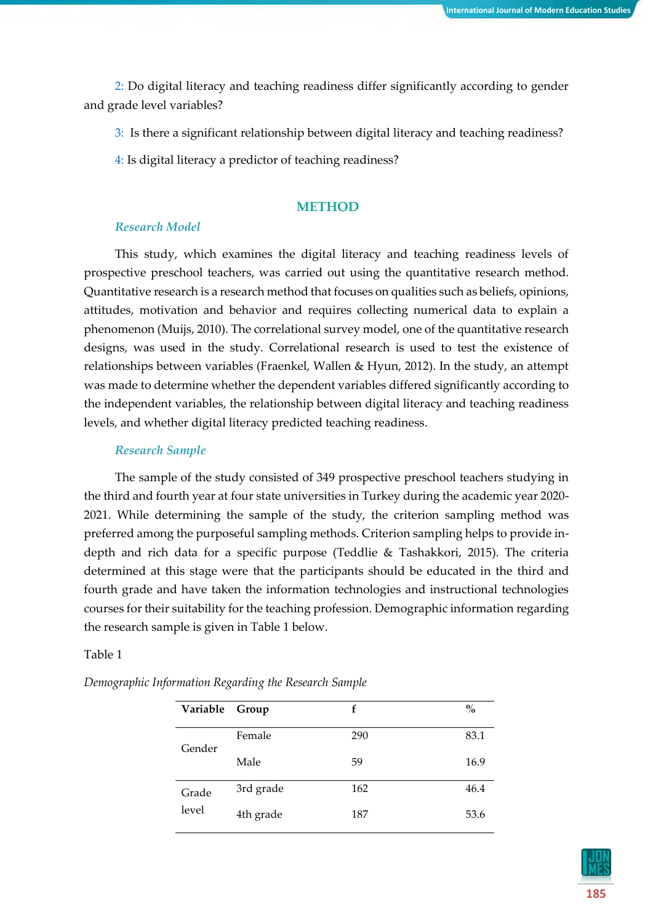2: Do digital literacy and teaching readiness differ significantly according to gender and grade level variables?

3: Is there a significant relationship between digital literacy and teaching readiness?

4: Is digital literacy a predictor of teaching readiness?

#### **METHOD**

#### *Research Model*

This study, which examines the digital literacy and teaching readiness levels of prospective preschool teachers, was carried out using the quantitative research method. Quantitative research is a research method that focuses on qualities such as beliefs, opinions, attitudes, motivation and behavior and requires collecting numerical data to explain a phenomenon (Muijs, 2010). The correlational survey model, one of the quantitative research designs, was used in the study. Correlational research is used to test the existence of relationships between variables (Fraenkel, Wallen & Hyun, 2012). In the study, an attempt was made to determine whether the dependent variables differed significantly according to the independent variables, the relationship between digital literacy and teaching readiness levels, and whether digital literacy predicted teaching readiness.

#### *Research Sample*

The sample of the study consisted of 349 prospective preschool teachers studying in the third and fourth year at four state universities in Turkey during the academic year 2020- 2021. While determining the sample of the study, the criterion sampling method was preferred among the purposeful sampling methods. Criterion sampling helps to provide indepth and rich data for a specific purpose (Teddlie & Tashakkori, 2015). The criteria determined at this stage were that the participants should be educated in the third and fourth grade and have taken the information technologies and instructional technologies courses for their suitability for the teaching profession. Demographic information regarding the research sample is given in Table 1 below.

#### Table 1

| Variable Group |           | f   | $\mathbf{0}_{\mathbf{0}}^{\prime}$ |
|----------------|-----------|-----|------------------------------------|
| Gender         | Female    | 290 | 83.1                               |
|                | Male      | 59  | 16.9                               |
| Grade          | 3rd grade | 162 | 46.4                               |
| level          | 4th grade | 187 | 53.6                               |

*Demographic Information Regarding the Research Sample*

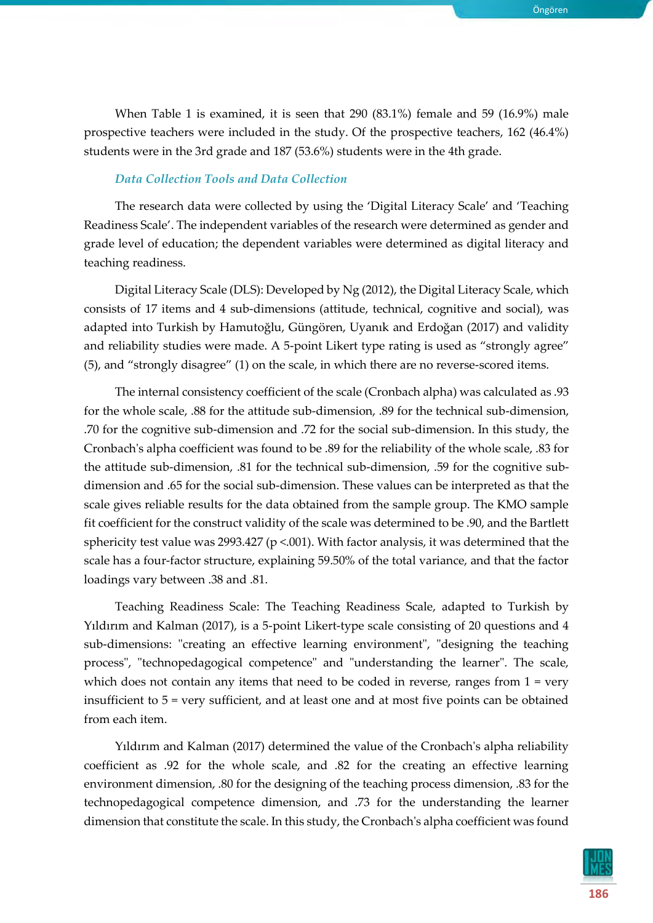When Table 1 is examined, it is seen that 290 (83.1%) female and 59 (16.9%) male prospective teachers were included in the study. Of the prospective teachers, 162 (46.4%) students were in the 3rd grade and 187 (53.6%) students were in the 4th grade.

# *Data Collection Tools and Data Collection*

The research data were collected by using the 'Digital Literacy Scale' and 'Teaching Readiness Scale'. The independent variables of the research were determined as gender and grade level of education; the dependent variables were determined as digital literacy and teaching readiness.

Digital Literacy Scale (DLS): Developed by Ng (2012), the Digital Literacy Scale, which consists of 17 items and 4 sub-dimensions (attitude, technical, cognitive and social), was adapted into Turkish by Hamutoğlu, Güngören, Uyanık and Erdoğan (2017) and validity and reliability studies were made. A 5-point Likert type rating is used as "strongly agree" (5), and "strongly disagree" (1) on the scale, in which there are no reverse-scored items.

The internal consistency coefficient of the scale (Cronbach alpha) was calculated as .93 for the whole scale, .88 for the attitude sub-dimension, .89 for the technical sub-dimension, .70 for the cognitive sub-dimension and .72 for the social sub-dimension. In this study, the Cronbach's alpha coefficient was found to be .89 for the reliability of the whole scale, .83 for the attitude sub-dimension, .81 for the technical sub-dimension, .59 for the cognitive subdimension and .65 for the social sub-dimension. These values can be interpreted as that the scale gives reliable results for the data obtained from the sample group. The KMO sample fit coefficient for the construct validity of the scale was determined to be .90, and the Bartlett sphericity test value was 2993.427 ( $p$  <.001). With factor analysis, it was determined that the scale has a four-factor structure, explaining 59.50% of the total variance, and that the factor loadings vary between .38 and .81.

Teaching Readiness Scale: The Teaching Readiness Scale, adapted to Turkish by Yıldırım and Kalman (2017), is a 5-point Likert-type scale consisting of 20 questions and 4 sub-dimensions: "creating an effective learning environment", "designing the teaching process", "technopedagogical competence" and "understanding the learner". The scale, which does not contain any items that need to be coded in reverse, ranges from  $1 = \text{very}$ insufficient to 5 = very sufficient, and at least one and at most five points can be obtained from each item.

Yıldırım and Kalman (2017) determined the value of the Cronbach's alpha reliability coefficient as .92 for the whole scale, and .82 for the creating an effective learning environment dimension, .80 for the designing of the teaching process dimension, .83 for the technopedagogical competence dimension, and .73 for the understanding the learner dimension that constitute the scale. In this study, the Cronbach's alpha coefficient was found

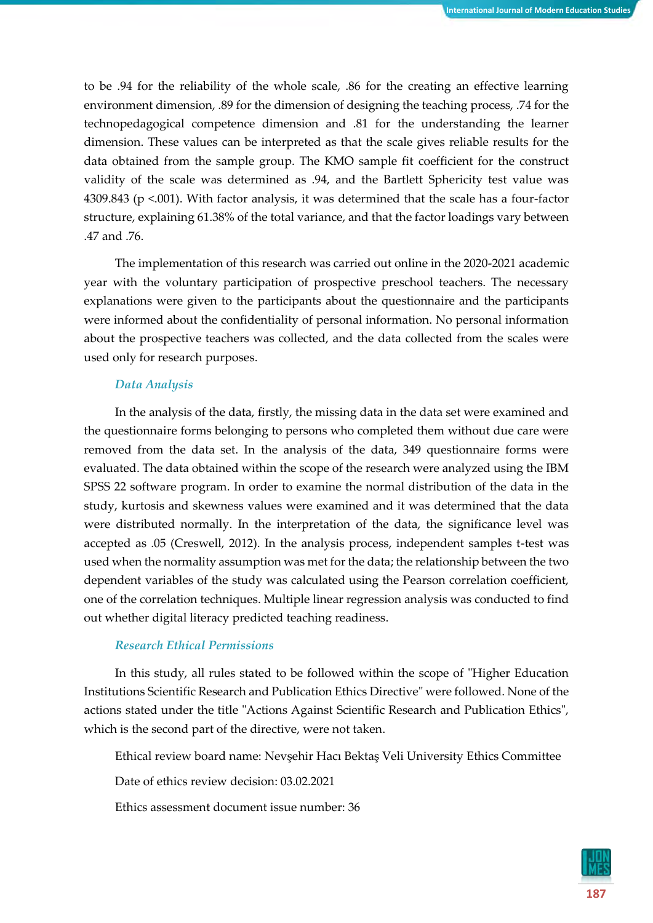to be .94 for the reliability of the whole scale, .86 for the creating an effective learning environment dimension, .89 for the dimension of designing the teaching process, .74 for the technopedagogical competence dimension and .81 for the understanding the learner dimension. These values can be interpreted as that the scale gives reliable results for the data obtained from the sample group. The KMO sample fit coefficient for the construct validity of the scale was determined as .94, and the Bartlett Sphericity test value was 4309.843 (p <.001). With factor analysis, it was determined that the scale has a four-factor structure, explaining 61.38% of the total variance, and that the factor loadings vary between .47 and .76.

The implementation of this research was carried out online in the 2020-2021 academic year with the voluntary participation of prospective preschool teachers. The necessary explanations were given to the participants about the questionnaire and the participants were informed about the confidentiality of personal information. No personal information about the prospective teachers was collected, and the data collected from the scales were used only for research purposes.

#### *Data Analysis*

In the analysis of the data, firstly, the missing data in the data set were examined and the questionnaire forms belonging to persons who completed them without due care were removed from the data set. In the analysis of the data, 349 questionnaire forms were evaluated. The data obtained within the scope of the research were analyzed using the IBM SPSS 22 software program. In order to examine the normal distribution of the data in the study, kurtosis and skewness values were examined and it was determined that the data were distributed normally. In the interpretation of the data, the significance level was accepted as .05 (Creswell, 2012). In the analysis process, independent samples t-test was used when the normality assumption was met for the data; the relationship between the two dependent variables of the study was calculated using the Pearson correlation coefficient, one of the correlation techniques. Multiple linear regression analysis was conducted to find out whether digital literacy predicted teaching readiness.

#### *Research Ethical Permissions*

In this study, all rules stated to be followed within the scope of "Higher Education Institutions Scientific Research and Publication Ethics Directive" were followed. None of the actions stated under the title "Actions Against Scientific Research and Publication Ethics", which is the second part of the directive, were not taken.

Ethical review board name: Nevşehir Hacı Bektaş Veli University Ethics Committee

Date of ethics review decision: 03.02.2021

Ethics assessment document issue number: 36

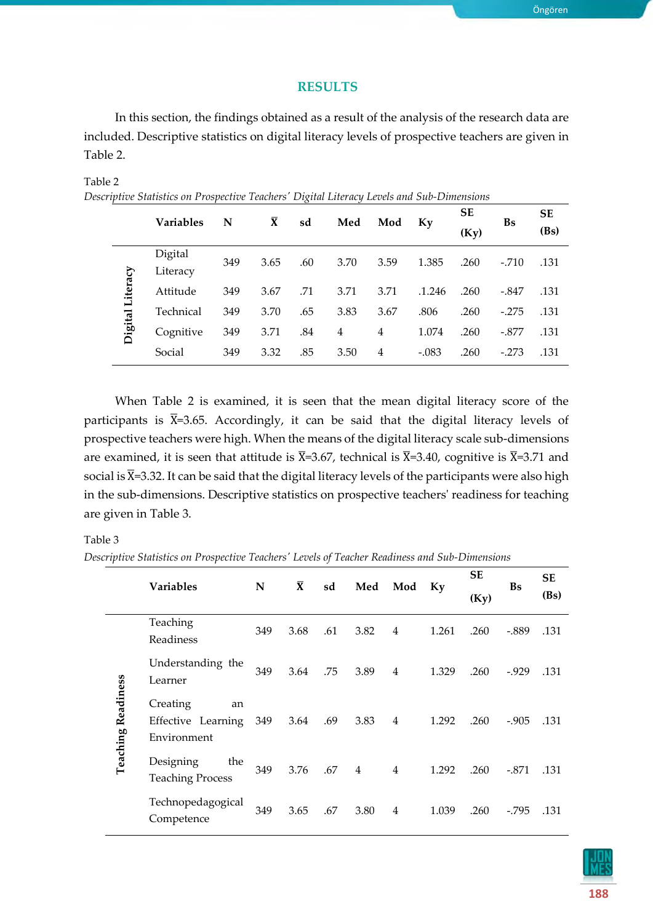# **RESULTS**

In this section, the findings obtained as a result of the analysis of the research data are included. Descriptive statistics on digital literacy levels of prospective teachers are given in Table 2.

# Table 2

*Descriptive Statistics on Prospective Teachers' Digital Literacy Levels and Sub-Dimensions*

|                  | <b>Variables</b>    | N   | $\bar{\mathbf{X}}$ | sd  | Med  | Mod  | Ky      | <b>SE</b> | Bs      | <b>SE</b> |
|------------------|---------------------|-----|--------------------|-----|------|------|---------|-----------|---------|-----------|
|                  |                     |     |                    |     |      |      |         | (Ky)      |         | (Bs)      |
|                  | Digital<br>Literacy | 349 | 3.65               | .60 | 3.70 | 3.59 | 1.385   | .260      | $-.710$ | .131      |
| Digital Literacy | Attitude            | 349 | 3.67               | .71 | 3.71 | 3.71 | .1.246  | .260      | $-.847$ | .131      |
|                  | Technical           | 349 | 3.70               | .65 | 3.83 | 3.67 | .806    | .260      | $-.275$ | .131      |
|                  | Cognitive           | 349 | 3.71               | .84 | 4    | 4    | 1.074   | .260      | $-.877$ | .131      |
|                  | Social              | 349 | 3.32               | .85 | 3.50 | 4    | $-.083$ | .260      | $-.273$ | .131      |

When Table 2 is examined, it is seen that the mean digital literacy score of the participants is  $\bar{X}$ =3.65. Accordingly, it can be said that the digital literacy levels of prospective teachers were high. When the means of the digital literacy scale sub-dimensions are examined, it is seen that attitude is  $\overline{X}$ =3.67, technical is  $\overline{X}$ =3.40, cognitive is  $\overline{X}$ =3.71 and social is  $\bar{X}$ =3.32. It can be said that the digital literacy levels of the participants were also high in the sub-dimensions. Descriptive statistics on prospective teachers' readiness for teaching are given in Table 3.

# Table 3

*Descriptive Statistics on Prospective Teachers' Levels of Teacher Readiness and Sub-Dimensions*

|                           | <b>Variables</b>                                    | N   | $\bar{\mathbf{X}}$ | sd  | Med            | Mod            |       | <b>SE</b> | <b>Bs</b> | <b>SE</b> |
|---------------------------|-----------------------------------------------------|-----|--------------------|-----|----------------|----------------|-------|-----------|-----------|-----------|
|                           |                                                     |     |                    |     |                |                | Ky    | (Ky)      |           | (Bs)      |
|                           | Teaching<br>Readiness                               | 349 | 3.68               | .61 | 3.82           | $\overline{4}$ | 1.261 | .260      | $-.889$   | .131      |
|                           | Understanding the<br>Learner                        | 349 | 3.64               | .75 | 3.89           | $\overline{4}$ | 1.329 | .260      | $-0.929$  | .131      |
| <b>Teaching Readiness</b> | Creating<br>an<br>Effective Learning<br>Environment | 349 | 3.64               | .69 | 3.83           | $\overline{4}$ | 1.292 | .260      | $-0.905$  | .131      |
|                           | Designing<br>the<br><b>Teaching Process</b>         | 349 | 3.76               | .67 | $\overline{4}$ | $\overline{4}$ | 1.292 | .260      | $-.871$   | .131      |
|                           | Technopedagogical<br>Competence                     | 349 | 3.65               | .67 | 3.80           | $\overline{4}$ | 1.039 | .260      | $-795$    | .131      |

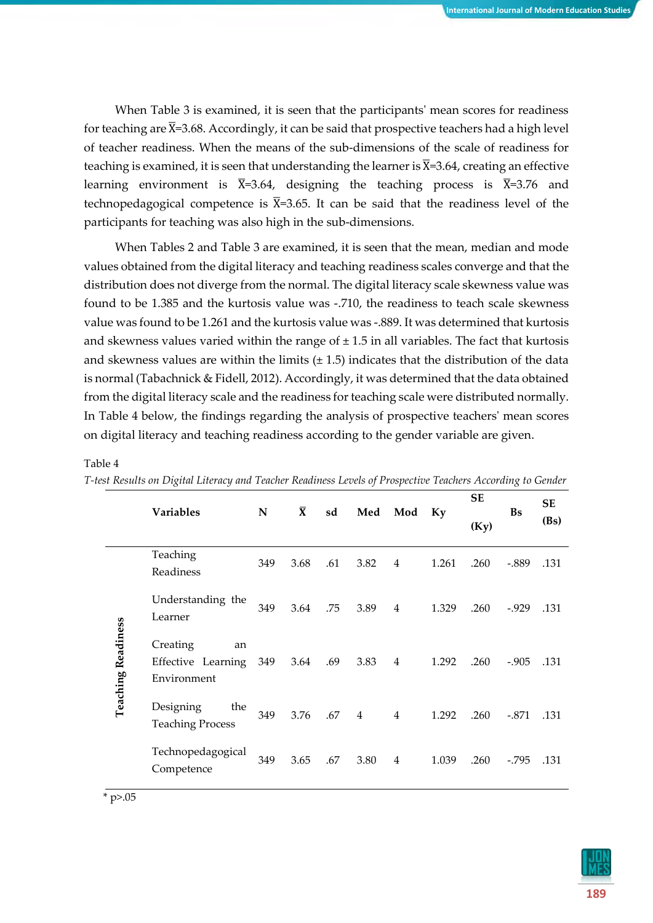When Table 3 is examined, it is seen that the participants' mean scores for readiness for teaching are  $\bar{X}$ =3.68. Accordingly, it can be said that prospective teachers had a high level of teacher readiness. When the means of the sub-dimensions of the scale of readiness for teaching is examined, it is seen that understanding the learner is  $\bar{x}$ =3.64, creating an effective learning environment is  $\bar{X}$ =3.64, designing the teaching process is  $\bar{X}$ =3.76 and technopedagogical competence is  $\overline{X}$ =3.65. It can be said that the readiness level of the participants for teaching was also high in the sub-dimensions.

When Tables 2 and Table 3 are examined, it is seen that the mean, median and mode values obtained from the digital literacy and teaching readiness scales converge and that the distribution does not diverge from the normal. The digital literacy scale skewness value was found to be 1.385 and the kurtosis value was -.710, the readiness to teach scale skewness value was found to be 1.261 and the kurtosis value was -.889. It was determined that kurtosis and skewness values varied within the range of  $\pm$  1.5 in all variables. The fact that kurtosis and skewness values are within the limits  $(\pm 1.5)$  indicates that the distribution of the data is normal (Tabachnick & Fidell, 2012). Accordingly, it was determined that the data obtained from the digital literacy scale and the readiness for teaching scale were distributed normally. In Table 4 below, the findings regarding the analysis of prospective teachers' mean scores on digital literacy and teaching readiness according to the gender variable are given.

|                           |                                                     |           | $\bar{\mathbf{X}}$ |     |                |                |       | <b>SE</b> |           | <b>SE</b> |
|---------------------------|-----------------------------------------------------|-----------|--------------------|-----|----------------|----------------|-------|-----------|-----------|-----------|
|                           | <b>Variables</b>                                    | ${\bf N}$ |                    | sd  | Med            | Mod            | Ky    | (Ky)      | <b>Bs</b> | (Bs)      |
|                           | Teaching<br>Readiness                               | 349       | 3.68               | .61 | 3.82           | 4              | 1.261 | .260      | $-.889$   | .131      |
|                           | Understanding the<br>Learner                        | 349       | 3.64               | .75 | 3.89           | $\overline{4}$ | 1.329 | .260      | $-0.929$  | .131      |
| <b>Teaching Readiness</b> | Creating<br>an<br>Effective Learning<br>Environment | 349       | 3.64               | .69 | 3.83           | $\overline{4}$ | 1.292 | .260      | $-.905$   | .131      |
|                           | Designing<br>the<br><b>Teaching Process</b>         | 349       | 3.76               | .67 | $\overline{4}$ | $\overline{4}$ | 1.292 | .260      | $-.871$   | .131      |
|                           | Technopedagogical<br>Competence                     | 349       | 3.65               | .67 | 3.80           | 4              | 1.039 | .260      | $-.795$   | .131      |

#### Table 4

| T-test Results on Digital Literacy and Teacher Readiness Levels of Prospective Teachers According to Gender |  |  |
|-------------------------------------------------------------------------------------------------------------|--|--|
|-------------------------------------------------------------------------------------------------------------|--|--|

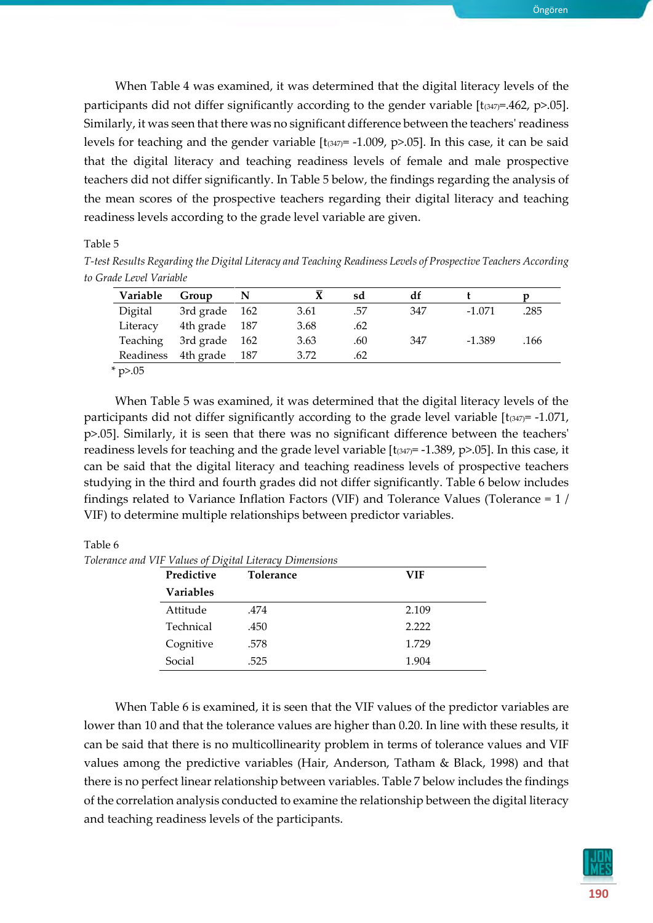When Table 4 was examined, it was determined that the digital literacy levels of the participants did not differ significantly according to the gender variable  $[t_{(347)}=462, p>0.05]$ . Similarly, it was seen that there was no significant difference between the teachers' readiness levels for teaching and the gender variable  $[t_{(347)} = -1.009, p > 0.05]$ . In this case, it can be said that the digital literacy and teaching readiness levels of female and male prospective teachers did not differ significantly. In Table 5 below, the findings regarding the analysis of

Table 5

*T-test Results Regarding the Digital Literacy and Teaching Readiness Levels of Prospective Teachers According to Grade Level Variable*

the mean scores of the prospective teachers regarding their digital literacy and teaching

readiness levels according to the grade level variable are given.

| 3.61 | .57 |                   |          |          |
|------|-----|-------------------|----------|----------|
|      |     | 347               | $-1.071$ | .285     |
| 3.68 |     |                   |          |          |
| 3.63 |     |                   |          | .166     |
| 3.72 |     |                   |          |          |
|      |     | .62<br>.60<br>.62 | 347      | $-1.389$ |

 $*$  p>.05

When Table 5 was examined, it was determined that the digital literacy levels of the participants did not differ significantly according to the grade level variable  $[t_{(347)} = -1.071$ , p>.05]. Similarly, it is seen that there was no significant difference between the teachers' readiness levels for teaching and the grade level variable  $[t_{(347)} = -1.389, p > 0.05]$ . In this case, it can be said that the digital literacy and teaching readiness levels of prospective teachers studying in the third and fourth grades did not differ significantly. Table 6 below includes findings related to Variance Inflation Factors (VIF) and Tolerance Values (Tolerance = 1 / VIF) to determine multiple relationships between predictor variables.

Table 6

*Tolerance and VIF Values of Digital Literacy Dimensions*

| Predictive       | <b>Tolerance</b> | <b>VIF</b> |
|------------------|------------------|------------|
| <b>Variables</b> |                  |            |
| Attitude         | .474             | 2.109      |
| Technical        | .450             | 2.222      |
| Cognitive        | .578             | 1.729      |
| Social           | .525             | 1.904      |

When Table 6 is examined, it is seen that the VIF values of the predictor variables are lower than 10 and that the tolerance values are higher than 0.20. In line with these results, it can be said that there is no multicollinearity problem in terms of tolerance values and VIF values among the predictive variables (Hair, Anderson, Tatham & Black, 1998) and that there is no perfect linear relationship between variables. Table 7 below includes the findings of the correlation analysis conducted to examine the relationship between the digital literacy and teaching readiness levels of the participants.



Öngören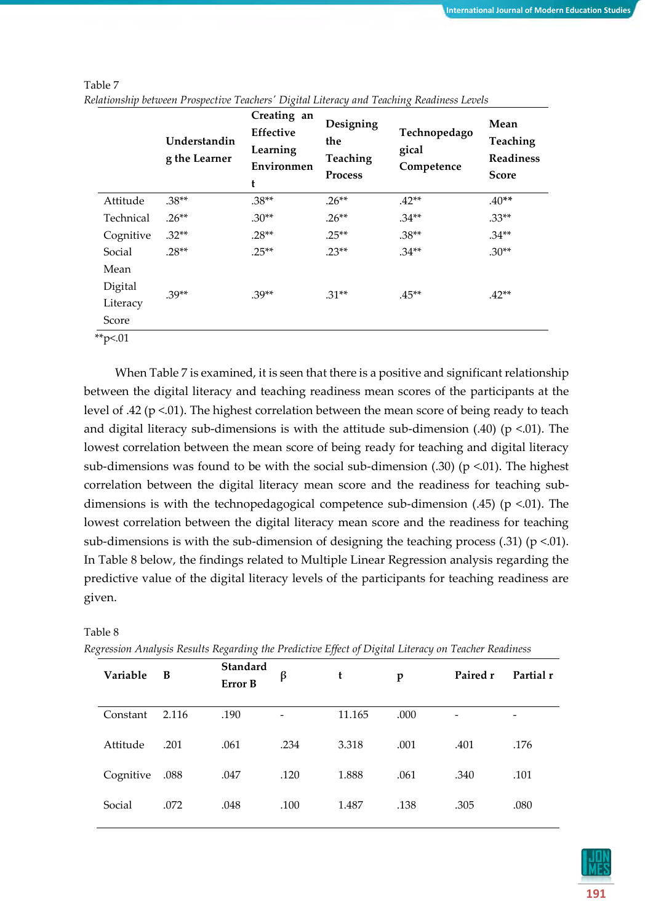|           | Understandin<br>g the Learner | Creating an<br>Effective<br>Learning<br>Environmen<br>t | Designing<br>the<br>Teaching<br><b>Process</b> | Technopedago<br>gical<br>Competence | Mean<br>Teaching<br><b>Readiness</b><br><b>Score</b> |
|-----------|-------------------------------|---------------------------------------------------------|------------------------------------------------|-------------------------------------|------------------------------------------------------|
| Attitude  | $.38**$                       | $.38**$                                                 | $.26**$                                        | $.42**$                             | $.40**$                                              |
| Technical | $.26**$                       | $.30**$                                                 | $.26**$                                        | $.34**$                             | $.33**$                                              |
| Cognitive | $.32**$                       | $.28**$                                                 | $.25**$                                        | $.38**$                             | $.34**$                                              |
| Social    | $.28**$                       | $25**$                                                  | $.23**$                                        | $.34**$                             | $.30**$                                              |
| Mean      |                               |                                                         |                                                |                                     |                                                      |
| Digital   | $.39**$                       | $.39**$                                                 | $.31**$                                        | $.45***$                            | $.42**$                                              |
| Literacy  |                               |                                                         |                                                |                                     |                                                      |
| Score     |                               |                                                         |                                                |                                     |                                                      |
|           |                               |                                                         |                                                |                                     |                                                      |

Table 7 *Relationship between Prospective Teachers' Digital Literacy and Teaching Readiness Levels*

 $*$ p<.01

When Table 7 is examined, it is seen that there is a positive and significant relationship between the digital literacy and teaching readiness mean scores of the participants at the level of .42 (p <.01). The highest correlation between the mean score of being ready to teach and digital literacy sub-dimensions is with the attitude sub-dimension  $(.40)$  (p <.01). The lowest correlation between the mean score of being ready for teaching and digital literacy sub-dimensions was found to be with the social sub-dimension  $(.30)$  (p <.01). The highest correlation between the digital literacy mean score and the readiness for teaching subdimensions is with the technopedagogical competence sub-dimension  $(.45)$  (p <.01). The lowest correlation between the digital literacy mean score and the readiness for teaching sub-dimensions is with the sub-dimension of designing the teaching process  $(.31)$  (p <.01). In Table 8 below, the findings related to Multiple Linear Regression analysis regarding the predictive value of the digital literacy levels of the participants for teaching readiness are given.

| Variable  | B     | Standard<br>Error B | β    | t      | p    | Paired r | Partial r |
|-----------|-------|---------------------|------|--------|------|----------|-----------|
| Constant  | 2.116 | .190                |      | 11.165 | .000 |          | -         |
| Attitude  | .201  | .061                | .234 | 3.318  | .001 | .401     | .176      |
| Cognitive | .088  | .047                | .120 | 1.888  | .061 | .340     | .101      |
| Social    | .072  | .048                | .100 | 1.487  | .138 | .305     | .080      |
|           |       |                     |      |        |      |          |           |

Table 8

*Regression Analysis Results Regarding the Predictive Effect of Digital Literacy on Teacher Readiness*

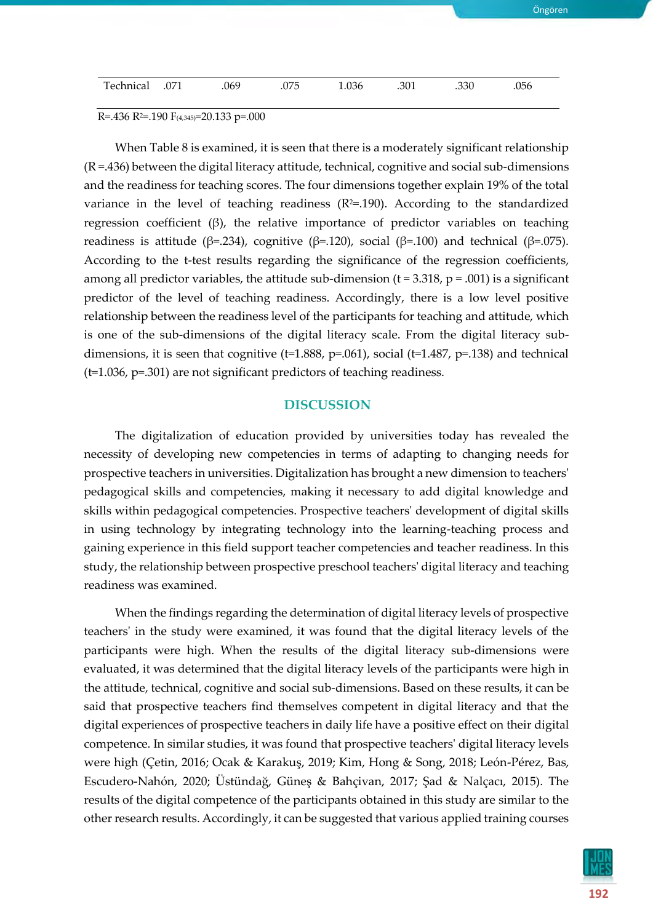| 071. Technical | .069 | .075 | 1.036 | .301 | .330 | .056 |
|----------------|------|------|-------|------|------|------|

R=.436 R<sup>2</sup>=.190 F<sub>(4,345)</sub>=20.133 p=.000

When Table 8 is examined, it is seen that there is a moderately significant relationship (R =.436) between the digital literacy attitude, technical, cognitive and social sub-dimensions and the readiness for teaching scores. The four dimensions together explain 19% of the total variance in the level of teaching readiness  $(R^2=0.190)$ . According to the standardized regression coefficient (β), the relative importance of predictor variables on teaching readiness is attitude (β=.234), cognitive (β=.120), social (β=.100) and technical (β=.075). According to the t-test results regarding the significance of the regression coefficients, among all predictor variables, the attitude sub-dimension ( $t = 3.318$ ,  $p = .001$ ) is a significant predictor of the level of teaching readiness. Accordingly, there is a low level positive relationship between the readiness level of the participants for teaching and attitude, which is one of the sub-dimensions of the digital literacy scale. From the digital literacy subdimensions, it is seen that cognitive ( $t=1.888$ ,  $p=.061$ ), social ( $t=1.487$ ,  $p=.138$ ) and technical (t=1.036, p=.301) are not significant predictors of teaching readiness.

## **DISCUSSION**

The digitalization of education provided by universities today has revealed the necessity of developing new competencies in terms of adapting to changing needs for prospective teachers in universities. Digitalization has brought a new dimension to teachers' pedagogical skills and competencies, making it necessary to add digital knowledge and skills within pedagogical competencies. Prospective teachers' development of digital skills in using technology by integrating technology into the learning-teaching process and gaining experience in this field support teacher competencies and teacher readiness. In this study, the relationship between prospective preschool teachers' digital literacy and teaching readiness was examined.

When the findings regarding the determination of digital literacy levels of prospective teachers' in the study were examined, it was found that the digital literacy levels of the participants were high. When the results of the digital literacy sub-dimensions were evaluated, it was determined that the digital literacy levels of the participants were high in the attitude, technical, cognitive and social sub-dimensions. Based on these results, it can be said that prospective teachers find themselves competent in digital literacy and that the digital experiences of prospective teachers in daily life have a positive effect on their digital competence. In similar studies, it was found that prospective teachers' digital literacy levels were high (Çetin, 2016; Ocak & Karakuş, 2019; Kim, Hong & Song, 2018; León-Pérez, Bas, Escudero-Nahón, 2020; Üstündağ, Güneş & Bahçivan, 2017; Şad & Nalçacı, 2015). The results of the digital competence of the participants obtained in this study are similar to the other research results. Accordingly, it can be suggested that various applied training courses



Öngören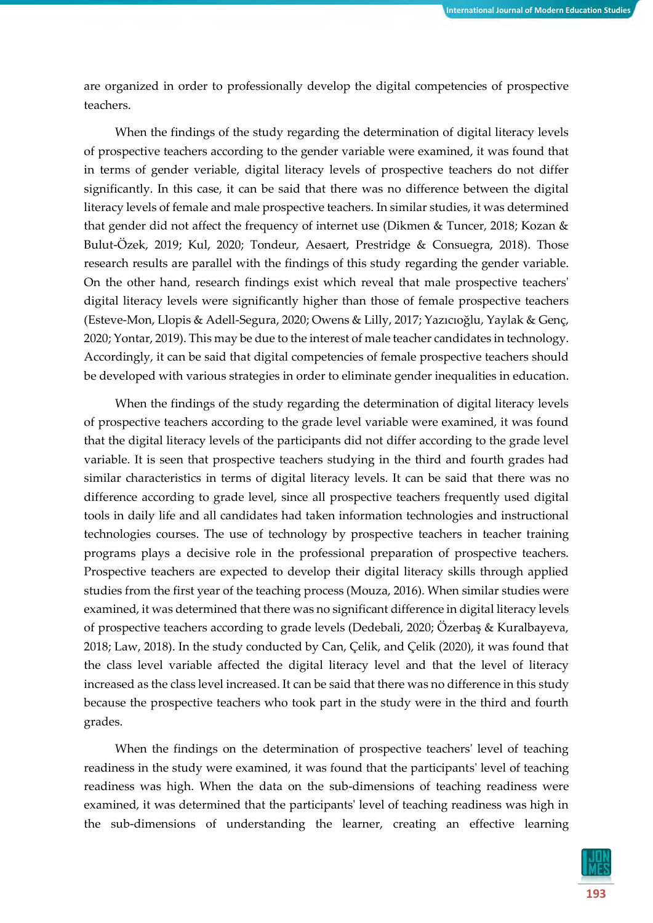are organized in order to professionally develop the digital competencies of prospective teachers.

When the findings of the study regarding the determination of digital literacy levels of prospective teachers according to the gender variable were examined, it was found that in terms of gender veriable, digital literacy levels of prospective teachers do not differ significantly. In this case, it can be said that there was no difference between the digital literacy levels of female and male prospective teachers. In similar studies, it was determined that gender did not affect the frequency of internet use (Dikmen & Tuncer, 2018; Kozan & Bulut-Özek, 2019; Kul, 2020; Tondeur, Aesaert, Prestridge & Consuegra, 2018). Those research results are parallel with the findings of this study regarding the gender variable. On the other hand, research findings exist which reveal that male prospective teachers' digital literacy levels were significantly higher than those of female prospective teachers (Esteve-Mon, Llopis & Adell-Segura, 2020; Owens & Lilly, 2017; Yazıcıoğlu, Yaylak & Genç, 2020; Yontar, 2019). This may be due to the interest of male teacher candidates in technology. Accordingly, it can be said that digital competencies of female prospective teachers should be developed with various strategies in order to eliminate gender inequalities in education.

When the findings of the study regarding the determination of digital literacy levels of prospective teachers according to the grade level variable were examined, it was found that the digital literacy levels of the participants did not differ according to the grade level variable. It is seen that prospective teachers studying in the third and fourth grades had similar characteristics in terms of digital literacy levels. It can be said that there was no difference according to grade level, since all prospective teachers frequently used digital tools in daily life and all candidates had taken information technologies and instructional technologies courses. The use of technology by prospective teachers in teacher training programs plays a decisive role in the professional preparation of prospective teachers. Prospective teachers are expected to develop their digital literacy skills through applied studies from the first year of the teaching process (Mouza, 2016). When similar studies were examined, it was determined that there was no significant difference in digital literacy levels of prospective teachers according to grade levels (Dedebali, 2020; Özerbaş & Kuralbayeva, 2018; Law, 2018). In the study conducted by Can, Çelik, and Çelik (2020), it was found that the class level variable affected the digital literacy level and that the level of literacy increased as the class level increased. It can be said that there was no difference in this study because the prospective teachers who took part in the study were in the third and fourth grades.

When the findings on the determination of prospective teachers' level of teaching readiness in the study were examined, it was found that the participants' level of teaching readiness was high. When the data on the sub-dimensions of teaching readiness were examined, it was determined that the participants' level of teaching readiness was high in the sub-dimensions of understanding the learner, creating an effective learning

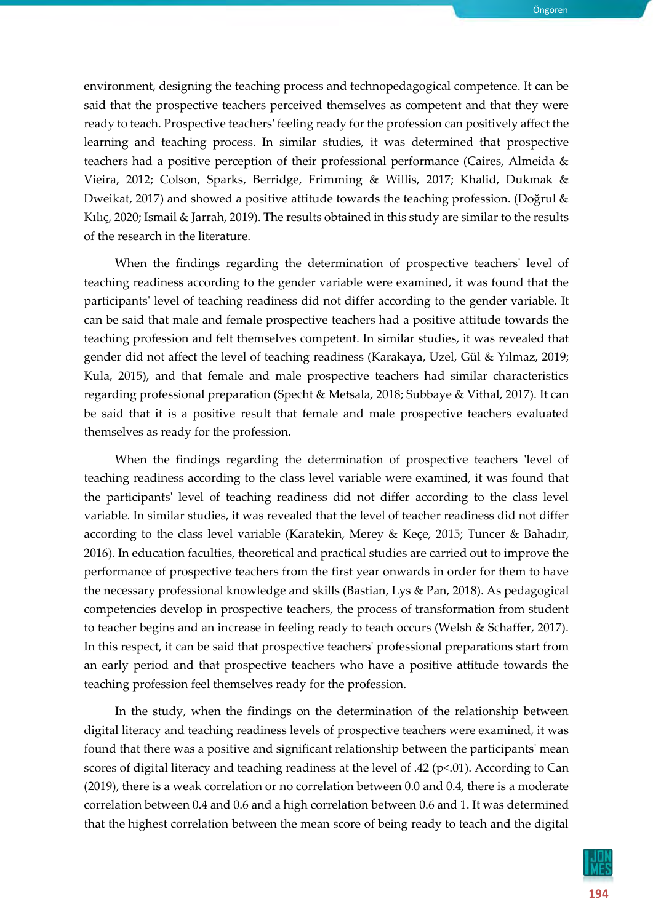environment, designing the teaching process and technopedagogical competence. It can be said that the prospective teachers perceived themselves as competent and that they were ready to teach. Prospective teachers' feeling ready for the profession can positively affect the learning and teaching process. In similar studies, it was determined that prospective teachers had a positive perception of their professional performance (Caires, Almeida & Vieira, 2012; Colson, Sparks, Berridge, Frimming & Willis, 2017; Khalid, Dukmak & Dweikat, 2017) and showed a positive attitude towards the teaching profession. (Doğrul & Kılıç, 2020; Ismail & Jarrah, 2019). The results obtained in this study are similar to the results of the research in the literature.

When the findings regarding the determination of prospective teachers' level of teaching readiness according to the gender variable were examined, it was found that the participants' level of teaching readiness did not differ according to the gender variable. It can be said that male and female prospective teachers had a positive attitude towards the teaching profession and felt themselves competent. In similar studies, it was revealed that gender did not affect the level of teaching readiness (Karakaya, Uzel, Gül & Yılmaz, 2019; Kula, 2015), and that female and male prospective teachers had similar characteristics regarding professional preparation (Specht & Metsala, 2018; Subbaye & Vithal, 2017). It can be said that it is a positive result that female and male prospective teachers evaluated themselves as ready for the profession.

When the findings regarding the determination of prospective teachers 'level of teaching readiness according to the class level variable were examined, it was found that the participants' level of teaching readiness did not differ according to the class level variable. In similar studies, it was revealed that the level of teacher readiness did not differ according to the class level variable (Karatekin, Merey & Keçe, 2015; Tuncer & Bahadır, 2016). In education faculties, theoretical and practical studies are carried out to improve the performance of prospective teachers from the first year onwards in order for them to have the necessary professional knowledge and skills (Bastian, Lys & Pan, 2018). As pedagogical competencies develop in prospective teachers, the process of transformation from student to teacher begins and an increase in feeling ready to teach occurs (Welsh & Schaffer, 2017). In this respect, it can be said that prospective teachers' professional preparations start from an early period and that prospective teachers who have a positive attitude towards the teaching profession feel themselves ready for the profession.

In the study, when the findings on the determination of the relationship between digital literacy and teaching readiness levels of prospective teachers were examined, it was found that there was a positive and significant relationship between the participants' mean scores of digital literacy and teaching readiness at the level of .42 (p<.01). According to Can (2019), there is a weak correlation or no correlation between 0.0 and 0.4, there is a moderate correlation between 0.4 and 0.6 and a high correlation between 0.6 and 1. It was determined that the highest correlation between the mean score of being ready to teach and the digital

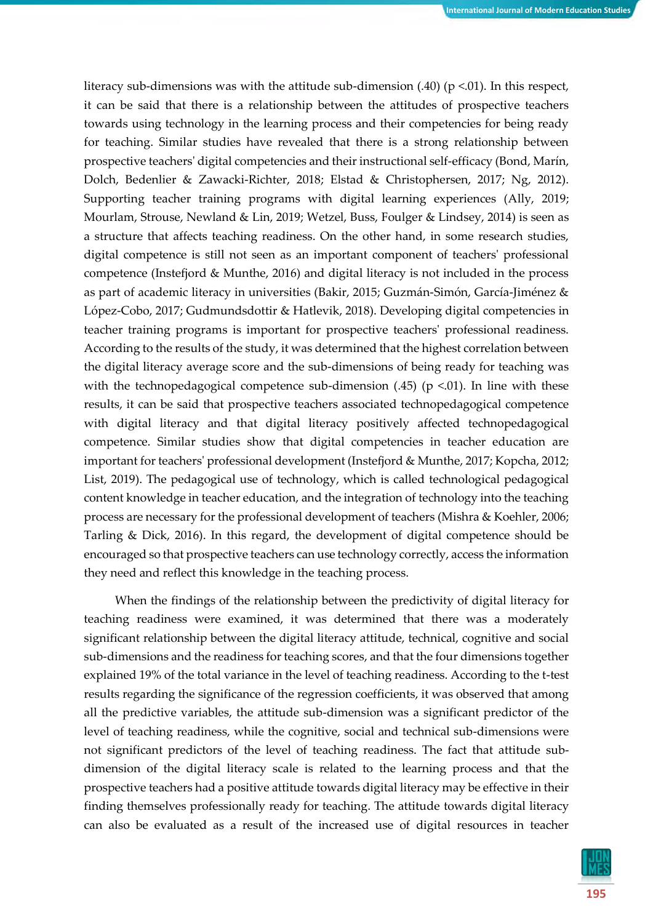literacy sub-dimensions was with the attitude sub-dimension  $(.40)$  (p <.01). In this respect, it can be said that there is a relationship between the attitudes of prospective teachers towards using technology in the learning process and their competencies for being ready for teaching. Similar studies have revealed that there is a strong relationship between prospective teachers' digital competencies and their instructional self-efficacy (Bond, Marín, Dolch, Bedenlier & Zawacki-Richter, 2018; Elstad & Christophersen, 2017; Ng, 2012). Supporting teacher training programs with digital learning experiences (Ally, 2019; Mourlam, Strouse, Newland & Lin, 2019; Wetzel, Buss, Foulger & Lindsey, 2014) is seen as a structure that affects teaching readiness. On the other hand, in some research studies, digital competence is still not seen as an important component of teachers' professional competence (Instefjord & Munthe, 2016) and digital literacy is not included in the process as part of academic literacy in universities (Bakir, 2015; Guzmán-Simón, García-Jiménez & López-Cobo, 2017; Gudmundsdottir & Hatlevik, 2018). Developing digital competencies in teacher training programs is important for prospective teachers' professional readiness. According to the results of the study, it was determined that the highest correlation between the digital literacy average score and the sub-dimensions of being ready for teaching was with the technopedagogical competence sub-dimension  $(.45)$  (p <.01). In line with these results, it can be said that prospective teachers associated technopedagogical competence with digital literacy and that digital literacy positively affected technopedagogical competence. Similar studies show that digital competencies in teacher education are important for teachers' professional development (Instefjord & Munthe, 2017; Kopcha, 2012; List, 2019). The pedagogical use of technology, which is called technological pedagogical content knowledge in teacher education, and the integration of technology into the teaching process are necessary for the professional development of teachers (Mishra & Koehler, 2006; Tarling & Dick, 2016). In this regard, the development of digital competence should be encouraged so that prospective teachers can use technology correctly, access the information they need and reflect this knowledge in the teaching process.

When the findings of the relationship between the predictivity of digital literacy for teaching readiness were examined, it was determined that there was a moderately significant relationship between the digital literacy attitude, technical, cognitive and social sub-dimensions and the readiness for teaching scores, and that the four dimensions together explained 19% of the total variance in the level of teaching readiness. According to the t-test results regarding the significance of the regression coefficients, it was observed that among all the predictive variables, the attitude sub-dimension was a significant predictor of the level of teaching readiness, while the cognitive, social and technical sub-dimensions were not significant predictors of the level of teaching readiness. The fact that attitude subdimension of the digital literacy scale is related to the learning process and that the prospective teachers had a positive attitude towards digital literacy may be effective in their finding themselves professionally ready for teaching. The attitude towards digital literacy can also be evaluated as a result of the increased use of digital resources in teacher

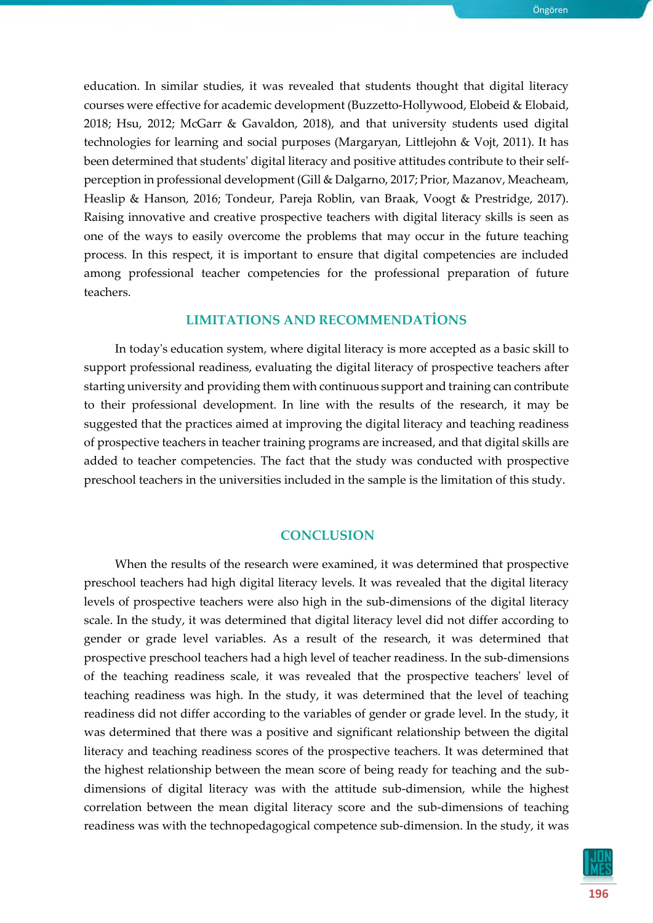education. In similar studies, it was revealed that students thought that digital literacy courses were effective for academic development (Buzzetto-Hollywood, Elobeid & Elobaid, 2018; Hsu, 2012; McGarr & Gavaldon, 2018), and that university students used digital technologies for learning and social purposes (Margaryan, Littlejohn & Vojt, 2011). It has been determined that students' digital literacy and positive attitudes contribute to their selfperception in professional development (Gill & Dalgarno, 2017; Prior, Mazanov, Meacheam, Heaslip & Hanson, 2016; Tondeur, Pareja Roblin, van Braak, Voogt & Prestridge, 2017). Raising innovative and creative prospective teachers with digital literacy skills is seen as one of the ways to easily overcome the problems that may occur in the future teaching process. In this respect, it is important to ensure that digital competencies are included among professional teacher competencies for the professional preparation of future teachers.

# **LIMITATIONS AND RECOMMENDATİONS**

In today's education system, where digital literacy is more accepted as a basic skill to support professional readiness, evaluating the digital literacy of prospective teachers after starting university and providing them with continuous support and training can contribute to their professional development. In line with the results of the research, it may be suggested that the practices aimed at improving the digital literacy and teaching readiness of prospective teachers in teacher training programs are increased, and that digital skills are added to teacher competencies. The fact that the study was conducted with prospective preschool teachers in the universities included in the sample is the limitation of this study.

#### **CONCLUSION**

When the results of the research were examined, it was determined that prospective preschool teachers had high digital literacy levels. It was revealed that the digital literacy levels of prospective teachers were also high in the sub-dimensions of the digital literacy scale. In the study, it was determined that digital literacy level did not differ according to gender or grade level variables. As a result of the research, it was determined that prospective preschool teachers had a high level of teacher readiness. In the sub-dimensions of the teaching readiness scale, it was revealed that the prospective teachers' level of teaching readiness was high. In the study, it was determined that the level of teaching readiness did not differ according to the variables of gender or grade level. In the study, it was determined that there was a positive and significant relationship between the digital literacy and teaching readiness scores of the prospective teachers. It was determined that the highest relationship between the mean score of being ready for teaching and the subdimensions of digital literacy was with the attitude sub-dimension, while the highest correlation between the mean digital literacy score and the sub-dimensions of teaching readiness was with the technopedagogical competence sub-dimension. In the study, it was

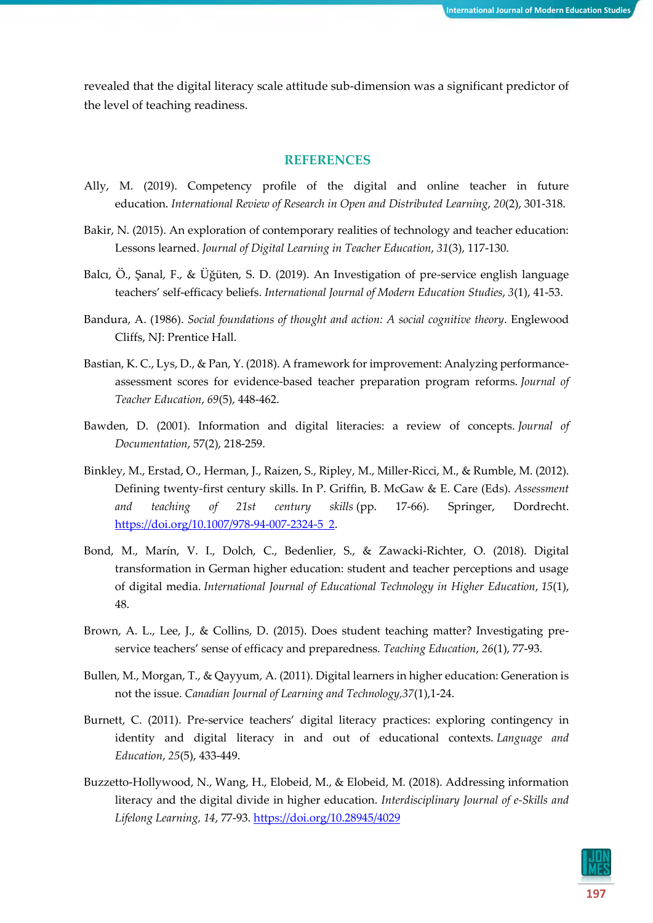revealed that the digital literacy scale attitude sub-dimension was a significant predictor of the level of teaching readiness.

#### **REFERENCES**

- Ally, M. (2019). Competency profile of the digital and online teacher in future education. *International Review of Research in Open and Distributed Learning*, *20*(2), 301-318.
- Bakir, N. (2015). An exploration of contemporary realities of technology and teacher education: Lessons learned. *Journal of Digital Learning in Teacher Education*, *31*(3), 117-130.
- Balcı, Ö., Şanal, F., & Üğüten, S. D. (2019). An Investigation of pre-service english language teachers' self-efficacy beliefs. *International Journal of Modern Education Studies*, *3*(1), 41-53.
- Bandura, A. (1986). *Social foundations of thought and action: A social cognitive theory*. Englewood Cliffs, NJ: Prentice Hall.
- Bastian, K. C., Lys, D., & Pan, Y. (2018). A framework for improvement: Analyzing performanceassessment scores for evidence-based teacher preparation program reforms. *Journal of Teacher Education*, *69*(5), 448-462.
- Bawden, D. (2001). Information and digital literacies: a review of concepts. *Journal of Documentation*, 57(2), 218-259.
- Binkley, M., Erstad, O., Herman, J., Raizen, S., Ripley, M., Miller-Ricci, M., & Rumble, M. (2012). Defining twenty-first century skills. In P. Griffin, B. McGaw & E. Care (Eds). *Assessment and teaching of 21st century skills* (pp. 17-66). Springer, Dordrecht. [https://doi.org/10.1007/978-94-007-2324-5\\_2.](https://doi.org/10.1007/978-94-007-2324-5_2)
- Bond, M., Marín, V. I., Dolch, C., Bedenlier, S., & Zawacki-Richter, O. (2018). Digital transformation in German higher education: student and teacher perceptions and usage of digital media. *International Journal of Educational Technology in Higher Education*, *15*(1), 48.
- Brown, A. L., Lee, J., & Collins, D. (2015). Does student teaching matter? Investigating preservice teachers' sense of efficacy and preparedness. *Teaching Education*, *26*(1), 77-93.
- Bullen, M., Morgan, T., & Qayyum, A. (2011). Digital learners in higher education: Generation is not the issue. *Canadian Journal of Learning and Technology,37*(1),1-24.
- Burnett, C. (2011). Pre-service teachers' digital literacy practices: exploring contingency in identity and digital literacy in and out of educational contexts. *Language and Education*, *25*(5), 433-449.
- Buzzetto-Hollywood, N., Wang, H., Elobeid, M., & Elobeid, M. (2018). Addressing information literacy and the digital divide in higher education. *Interdisciplinary Journal of e-Skills and Lifelong Learning, 14*, 77-93.<https://doi.org/10.28945/4029>

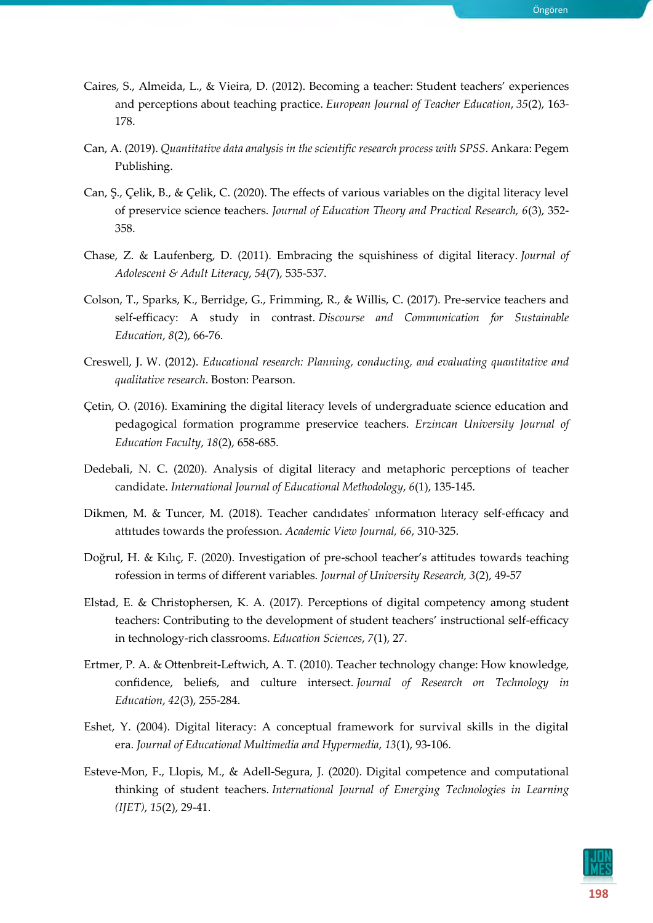- Caires, S., Almeida, L., & Vieira, D. (2012). Becoming a teacher: Student teachers' experiences and perceptions about teaching practice. *European Journal of Teacher Education*, *35*(2), 163- 178.
- Can, A. (2019). *Quantitative data analysis in the scientific research process with SPSS*. Ankara: Pegem Publishing.
- Can, Ş., Çelik, B., & Çelik, C. (2020). The effects of various variables on the digital literacy level of preservice science teachers. *Journal of Education Theory and Practical Research, 6*(3), 352- 358.
- Chase, Z. & Laufenberg, D. (2011). Embracing the squishiness of digital literacy. *Journal of Adolescent & Adult Literacy*, *54*(7), 535-537.
- Colson, T., Sparks, K., Berridge, G., Frimming, R., & Willis, C. (2017). Pre-service teachers and self-efficacy: A study in contrast. *Discourse and Communication for Sustainable Education*, *8*(2), 66-76.
- Creswell, J. W. (2012). *Educational research: Planning, conducting, and evaluating quantitative and qualitative research*. Boston: Pearson.
- Çetin, O. (2016). Examining the digital literacy levels of undergraduate science education and pedagogical formation programme preservice teachers. *Erzincan University Journal of Education Faculty*, *18*(2), 658-685.
- Dedebali, N. C. (2020). Analysis of digital literacy and metaphoric perceptions of teacher candidate. *International Journal of Educational Methodology*, *6*(1), 135-145.
- Dikmen, M. & Tuncer, M. (2018). Teacher candıdates' ınformatıon lıteracy self-effıcacy and attıtudes towards the professıon. *Academic View Journal, 66*, 310-325.
- Doğrul, H. & Kılıç, F. (2020). Investigation of pre-school teacher's attitudes towards teaching rofession in terms of different variables. *Journal of University Research, 3*(2), 49-57
- Elstad, E. & Christophersen, K. A. (2017). Perceptions of digital competency among student teachers: Contributing to the development of student teachers' instructional self-efficacy in technology-rich classrooms. *Education Sciences*, *7*(1), 27.
- Ertmer, P. A. & Ottenbreit-Leftwich, A. T. (2010). Teacher technology change: How knowledge, confidence, beliefs, and culture intersect. *Journal of Research on Technology in Education*, *42*(3), 255-284.
- Eshet, Y. (2004). Digital literacy: A conceptual framework for survival skills in the digital era. *Journal of Educational Multimedia and Hypermedia*, *13*(1), 93-106.
- Esteve-Mon, F., Llopis, M., & Adell-Segura, J. (2020). Digital competence and computational thinking of student teachers. *International Journal of Emerging Technologies in Learning (IJET)*, *15*(2), 29-41.

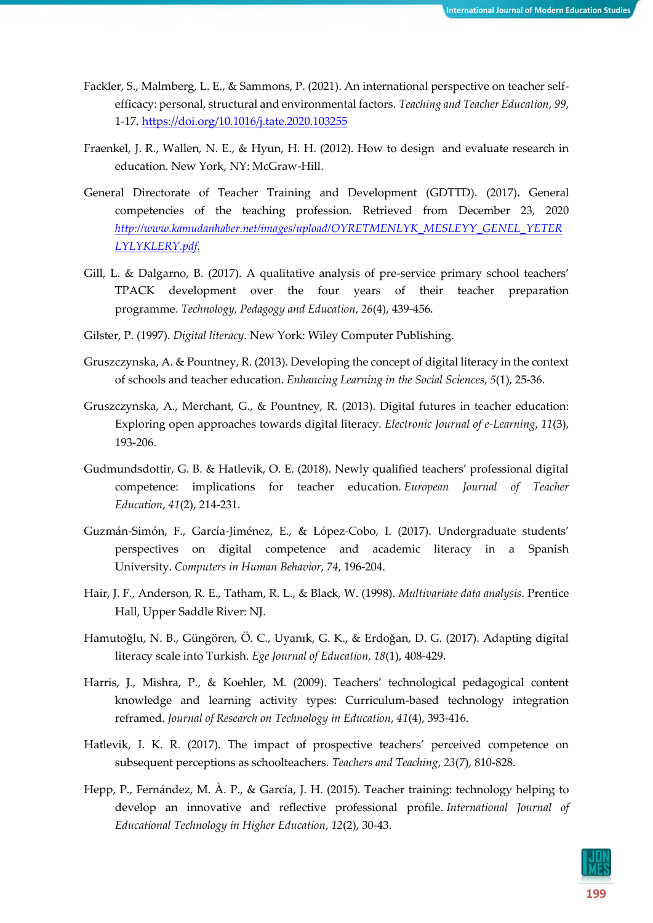- Fackler, S., Malmberg, L. E., & Sammons, P. (2021). An international perspective on teacher selfefficacy: personal, structural and environmental factors. *Teaching and Teacher Education*, *99*, 1-17.<https://doi.org/10.1016/j.tate.2020.103255>
- Fraenkel, J. R., Wallen, N. E., & Hyun, H. H. (2012). How to design and evaluate research in education. New York, NY: McGraw-Hill.
- General Directorate of Teacher Training and Development (GDTTD). (2017)**.** General competencies of the teaching profession. Retrieved from December 23, 2020 *[http://www.kamudanhaber.net/images/upload/OYRETMENLYK\\_MESLEYY\\_GENEL\\_YETER](http://www.kamudanhaber.net/images/upload/OYRETMENLYK_MESLEYY_GENEL_YETERLYLYKLERY.pdf) [LYLYKLERY.pdf.](http://www.kamudanhaber.net/images/upload/OYRETMENLYK_MESLEYY_GENEL_YETERLYLYKLERY.pdf)*
- Gill, L. & Dalgarno, B. (2017). A qualitative analysis of pre-service primary school teachers' TPACK development over the four years of their teacher preparation programme. *Technology, Pedagogy and Education*, *26*(4), 439-456.
- Gilster, P. (1997). *Digital literacy*. New York: Wiley Computer Publishing.
- Gruszczynska, A. & Pountney, R. (2013). Developing the concept of digital literacy in the context of schools and teacher education. *Enhancing Learning in the Social Sciences*, *5*(1), 25-36.
- Gruszczynska, A., Merchant, G., & Pountney, R. (2013). Digital futures in teacher education: Exploring open approaches towards digital literacy. *Electronic Journal of e-Learning*, *11*(3), 193-206.
- Gudmundsdottir, G. B. & Hatlevik, O. E. (2018). Newly qualified teachers' professional digital competence: implications for teacher education. *European Journal of Teacher Education*, *41*(2), 214-231.
- Guzmán-Simón, F., García-Jiménez, E., & López-Cobo, I. (2017). Undergraduate students' perspectives on digital competence and academic literacy in a Spanish University. *Computers in Human Behavior*, *74*, 196-204.
- Hair, J. F., Anderson, R. E., Tatham, R. L., & Black, W. (1998). *Multivariate data analysis*. Prentice Hall, Upper Saddle River: NJ.
- Hamutoğlu, N. B., Güngören, Ö. C., Uyanık, G. K., & Erdoğan, D. G. (2017). Adapting digital literacy scale into Turkish. *Ege Journal of Education, 18*(1), 408-429.
- Harris, J., Mishra, P., & Koehler, M. (2009). Teachers' technological pedagogical content knowledge and learning activity types: Curriculum-based technology integration reframed. *Journal of Research on Technology in Education*, *41*(4), 393-416.
- Hatlevik, I. K. R. (2017). The impact of prospective teachers' perceived competence on subsequent perceptions as schoolteachers. *Teachers and Teaching*, *23*(7), 810-828.
- Hepp, P., Fernández, M. À. P., & García, J. H. (2015). Teacher training: technology helping to develop an innovative and reflective professional profile. *International Journal of Educational Technology in Higher Education*, *12*(2), 30-43.

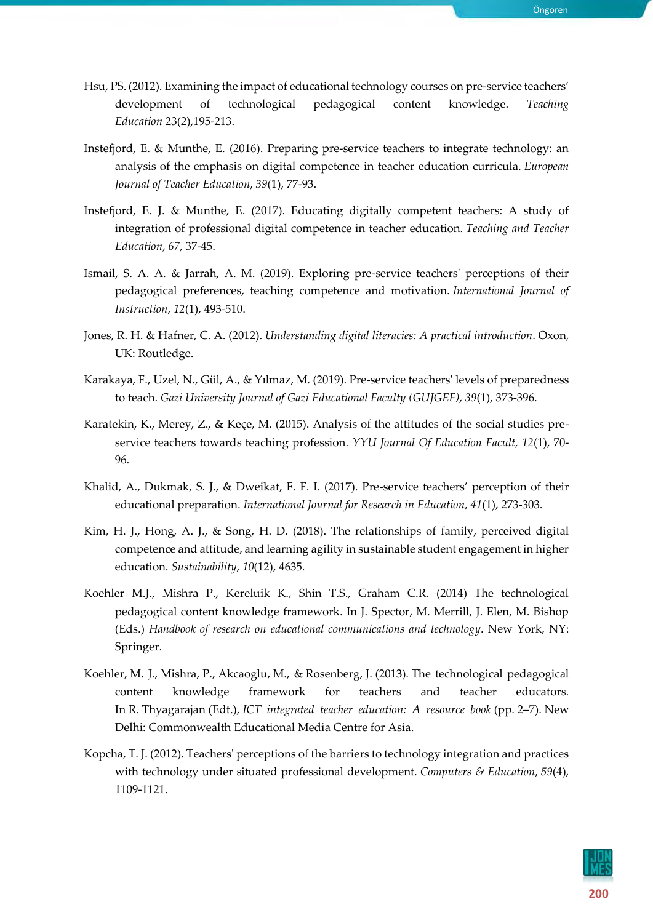- Hsu, PS. (2012). Examining the impact of educational technology courses on pre-service teachers' development of technological pedagogical content knowledge. *Teaching Education* 23(2),195-213.
- Instefjord, E. & Munthe, E. (2016). Preparing pre-service teachers to integrate technology: an analysis of the emphasis on digital competence in teacher education curricula. *European Journal of Teacher Education*, *39*(1), 77-93.
- Instefjord, E. J. & Munthe, E. (2017). Educating digitally competent teachers: A study of integration of professional digital competence in teacher education. *Teaching and Teacher Education*, *67*, 37-45.
- Ismail, S. A. A. & Jarrah, A. M. (2019). Exploring pre-service teachers' perceptions of their pedagogical preferences, teaching competence and motivation. *International Journal of Instruction*, *12*(1), 493-510.
- Jones, R. H. & Hafner, C. A. (2012). *Understanding digital literacies: A practical introduction*. Oxon, UK: Routledge.
- Karakaya, F., Uzel, N., Gül, A., & Yılmaz, M. (2019). Pre-service teachers' levels of preparedness to teach. *Gazi University Journal of Gazi Educational Faculty (GUJGEF)*, *39*(1), 373-396.
- Karatekin, K., Merey, Z., & Keçe, M. (2015). Analysis of the attitudes of the social studies preservice teachers towards teaching profession. *YYU Journal Of Education Facult, 12*(1), 70- 96.
- Khalid, A., Dukmak, S. J., & Dweikat, F. F. I. (2017). Pre-service teachers' perception of their educational preparation. *International Journal for Research in Education*, *41*(1), 273-303.
- Kim, H. J., Hong, A. J., & Song, H. D. (2018). The relationships of family, perceived digital competence and attitude, and learning agility in sustainable student engagement in higher education. *Sustainability*, *10*(12), 4635.
- Koehler M.J., Mishra P., Kereluik K., Shin T.S., Graham C.R. (2014) The technological pedagogical content knowledge framework. In J. Spector, M. Merrill, J. Elen, M. Bishop (Eds.) *Handbook of research on educational communications and technology*. New York, NY: Springer.
- Koehler, M. J., Mishra, P., Akcaoglu, M., & Rosenberg, J. (2013). The technological pedagogical content knowledge framework for teachers and teacher educators. In R. Thyagarajan (Edt.), *ICT integrated teacher education: A resource book* (pp. 2–7). New Delhi: Commonwealth Educational Media Centre for Asia.
- Kopcha, T. J. (2012). Teachers' perceptions of the barriers to technology integration and practices with technology under situated professional development. *Computers & Education*, *59*(4), 1109-1121.

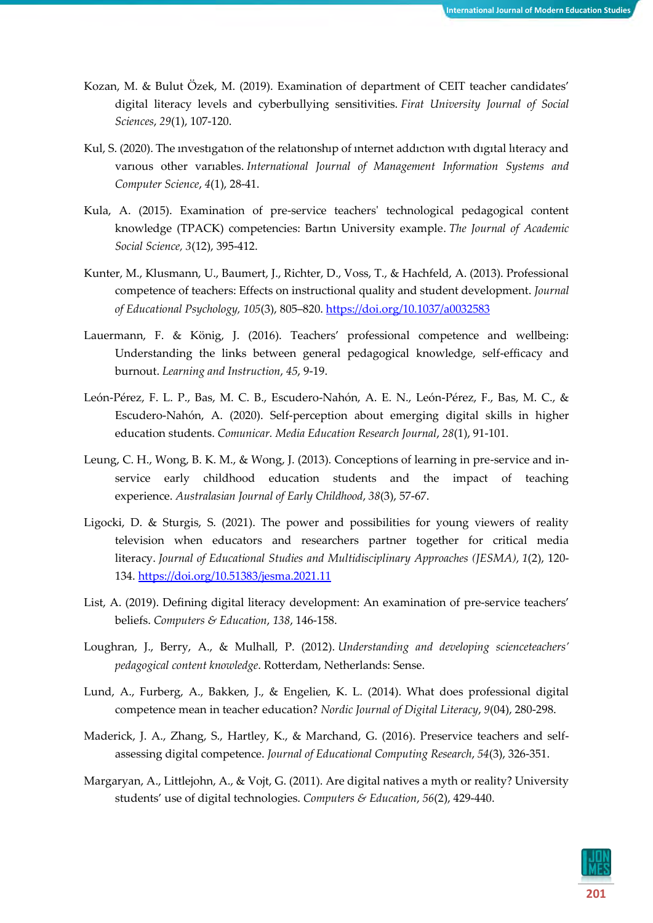- Kozan, M. & Bulut Özek, M. (2019). Examination of department of CEIT teacher candidates' digital literacy levels and cyberbullying sensitivities. *Firat University Journal of Social Sciences*, *29*(1), 107-120.
- Kul, S. (2020). The ınvestıgatıon of the relatıonshıp of ınternet addıctıon wıth dıgıtal lıteracy and varıous other varıables. *International Journal of Management Information Systems and Computer Science*, *4*(1), 28-41.
- Kula, A. (2015). Examination of pre-service teachers' technological pedagogical content knowledge (TPACK) competencies: Bartın University example. *The Journal of Academic Social Science, 3*(12), 395-412.
- Kunter, M., Klusmann, U., Baumert, J., Richter, D., Voss, T., & Hachfeld, A. (2013). Professional competence of teachers: Effects on instructional quality and student development. *Journal of Educational Psychology, 105*(3), 805–820. [https://doi.org/10.1037/a0032583](https://psycnet.apa.org/doi/10.1037/a0032583)
- Lauermann, F. & König, J. (2016). Teachers' professional competence and wellbeing: Understanding the links between general pedagogical knowledge, self-efficacy and burnout. *Learning and Instruction*, *45*, 9-19.
- León-Pérez, F. L. P., Bas, M. C. B., Escudero-Nahón, A. E. N., León-Pérez, F., Bas, M. C., & Escudero-Nahón, A. (2020). Self-perception about emerging digital skills in higher education students. *Comunicar. Media Education Research Journal*, *28*(1), 91-101.
- Leung, C. H., Wong, B. K. M., & Wong, J. (2013). Conceptions of learning in pre-service and inservice early childhood education students and the impact of teaching experience. *Australasian Journal of Early Childhood*, *38*(3), 57-67.
- Ligocki, D. & Sturgis, S. (2021). The power and possibilities for young viewers of reality television when educators and researchers partner together for critical media literacy. *Journal of Educational Studies and Multidisciplinary Approaches (JESMA)*, *1*(2), 120- 134.<https://doi.org/10.51383/jesma.2021.11>
- List, A. (2019). Defining digital literacy development: An examination of pre-service teachers' beliefs. *Computers & Education*, *138*, 146-158.
- Loughran, J., Berry, A., & Mulhall, P. (2012). *Understanding and developing scienceteachers' pedagogical content knowledge*. Rotterdam, Netherlands: Sense.
- Lund, A., Furberg, A., Bakken, J., & Engelien, K. L. (2014). What does professional digital competence mean in teacher education? *Nordic Journal of Digital Literacy*, *9*(04), 280-298.
- Maderick, J. A., Zhang, S., Hartley, K., & Marchand, G. (2016). Preservice teachers and selfassessing digital competence. *Journal of Educational Computing Research*, *54*(3), 326-351.
- Margaryan, A., Littlejohn, A., & Vojt, G. (2011). Are digital natives a myth or reality? University students' use of digital technologies. *Computers & Education*, *56*(2), 429-440.

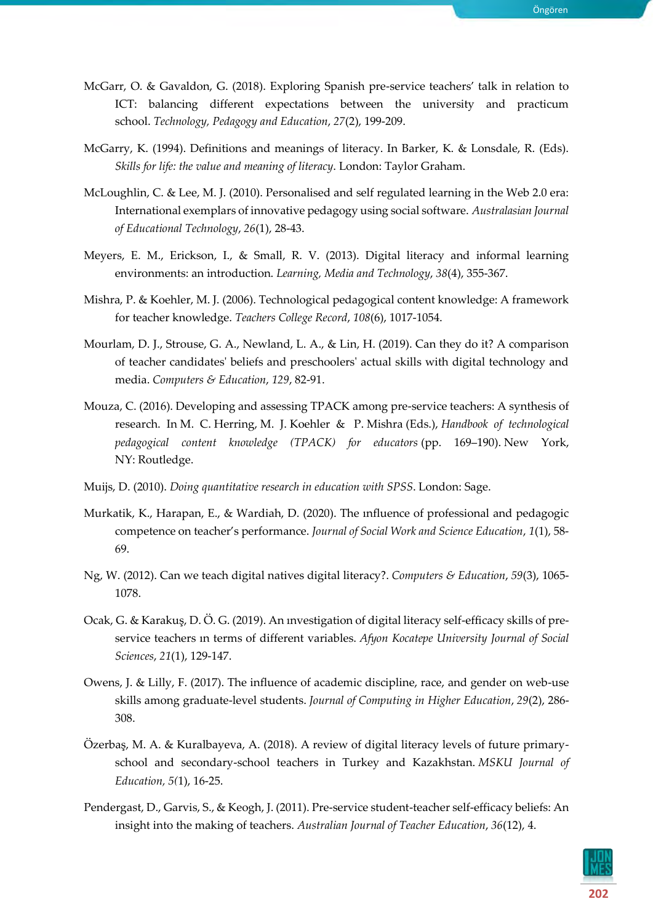- McGarr, O. & Gavaldon, G. (2018). Exploring Spanish pre-service teachers' talk in relation to ICT: balancing different expectations between the university and practicum school. *Technology, Pedagogy and Education*, *27*(2), 199-209.
- McGarry, K. (1994). Definitions and meanings of literacy. In Barker, K. & Lonsdale, R. (Eds). *Skills for life: the value and meaning of literacy*. London: Taylor Graham.
- McLoughlin, C. & Lee, M. J. (2010). Personalised and self regulated learning in the Web 2.0 era: International exemplars of innovative pedagogy using social software. *Australasian Journal of Educational Technology*, *26*(1), 28-43.
- Meyers, E. M., Erickson, I., & Small, R. V. (2013). Digital literacy and informal learning environments: an introduction. *Learning, Media and Technology*, *38*(4), 355-367.
- Mishra, P. & Koehler, M. J. (2006). Technological pedagogical content knowledge: A framework for teacher knowledge. *Teachers College Record*, *108*(6), 1017-1054.
- Mourlam, D. J., Strouse, G. A., Newland, L. A., & Lin, H. (2019). Can they do it? A comparison of teacher candidates' beliefs and preschoolers' actual skills with digital technology and media. *Computers & Education*, *129*, 82-91.
- Mouza, C. (2016). Developing and assessing TPACK among pre-service teachers: A synthesis of research. In M. C. Herring, M. J. Koehler & P. Mishra (Eds.), *Handbook of technological pedagogical content knowledge (TPACK) for educators* (pp. 169–190). New York, NY: Routledge.
- Muijs, D. (2010). *Doing quantitative research in education with SPSS*. London: Sage.
- Murkatik, K., Harapan, E., & Wardiah, D. (2020). The ınfluence of professional and pedagogic competence on teacher's performance. *Journal of Social Work and Science Education*, *1*(1), 58- 69.
- Ng, W. (2012). Can we teach digital natives digital literacy?. *Computers & Education*, *59*(3), 1065- 1078.
- Ocak, G. & Karakuş, D. Ö. G. (2019). An ınvestigation of digital literacy self-efficacy skills of preservice teachers ın terms of different variables. *Afyon Kocatepe University Journal of Social Sciences*, *21*(1), 129-147.
- Owens, J. & Lilly, F. (2017). The influence of academic discipline, race, and gender on web-use skills among graduate-level students. *Journal of Computing in Higher Education*, *29*(2), 286- 308.
- Özerbaş, M. A. & Kuralbayeva, A. (2018). A review of digital literacy levels of future primaryschool and secondary-school teachers in Turkey and Kazakhstan. *MSKU Journal of Education, 5(*1), 16-25.
- Pendergast, D., Garvis, S., & Keogh, J. (2011). Pre-service student-teacher self-efficacy beliefs: An insight into the making of teachers. *Australian Journal of Teacher Education*, *36*(12), 4.

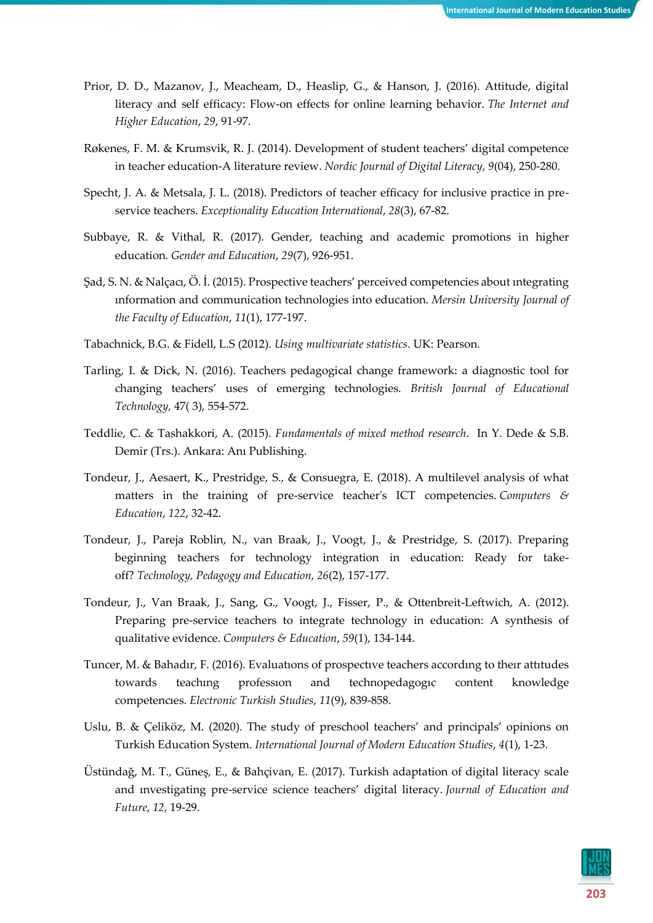- Prior, D. D., Mazanov, J., Meacheam, D., Heaslip, G., & Hanson, J. (2016). Attitude, digital literacy and self efficacy: Flow-on effects for online learning behavior. *The Internet and Higher Education*, *29*, 91-97.
- Røkenes, F. M. & Krumsvik, R. J. (2014). Development of student teachers' digital competence in teacher education-A literature review. *Nordic Journal of Digital Literacy*, *9*(04), 250-280.
- Specht, J. A. & Metsala, J. L. (2018). Predictors of teacher efficacy for inclusive practice in preservice teachers. *Exceptionality Education International*, *28*(3), 67-82.
- Subbaye, R. & Vithal, R. (2017). Gender, teaching and academic promotions in higher education. *Gender and Education*, *29*(7), 926-951.
- Şad, S. N. & Nalçacı, Ö. İ. (2015). Prospective teachers' perceived competencies about ıntegrating ınformation and communication technologies into education. *Mersin University Journal of the Faculty of Education*, *11*(1), 177-197.
- Tabachnick, B.G. & Fidell, L.S (2012). *Using multivariate statistics*. UK: Pearson.
- Tarling, I. & Dick, N. (2016). Teachers pedagogical change framework: a diagnostic tool for changing teachers' uses of emerging technologies. *British Journal of Educational Technology,* 47( 3), 554-572.
- Teddlie, C. & Tashakkori, A. (2015). *Fundamentals of mixed method research*. In Y. Dede & S.B. Demir (Trs.). Ankara: Anı Publishing.
- Tondeur, J., Aesaert, K., Prestridge, S., & Consuegra, E. (2018). A multilevel analysis of what matters in the training of pre-service teacher's ICT competencies. *Computers & Education*, *122*, 32-42.
- Tondeur, J., Pareja Roblin, N., van Braak, J., Voogt, J., & Prestridge, S. (2017). Preparing beginning teachers for technology integration in education: Ready for takeoff? *Technology, Pedagogy and Education*, *26*(2), 157-177.
- Tondeur, J., Van Braak, J., Sang, G., Voogt, J., Fisser, P., & Ottenbreit-Leftwich, A. (2012). Preparing pre-service teachers to integrate technology in education: A synthesis of qualitative evidence. *Computers & Education*, *59*(1), 134-144.
- Tuncer, M. & Bahadır, F. (2016). Evaluatıons of prospectıve teachers accordıng to theır attıtudes towards teachıng professıon and technopedagogıc content knowledge competencıes. *Electronic Turkish Studies*, *11*(9), 839-858.
- Uslu, B. & Çeliköz, M. (2020). The study of preschool teachers' and principals' opinions on Turkish Education System. *International Journal of Modern Education Studies*, *4*(1), 1-23.
- Üstündağ, M. T., Güneş, E., & Bahçivan, E. (2017). Turkish adaptation of digital literacy scale and ınvestigating pre-service science teachers' digital literacy. *Journal of Education and Future*, *12*, 19-29.